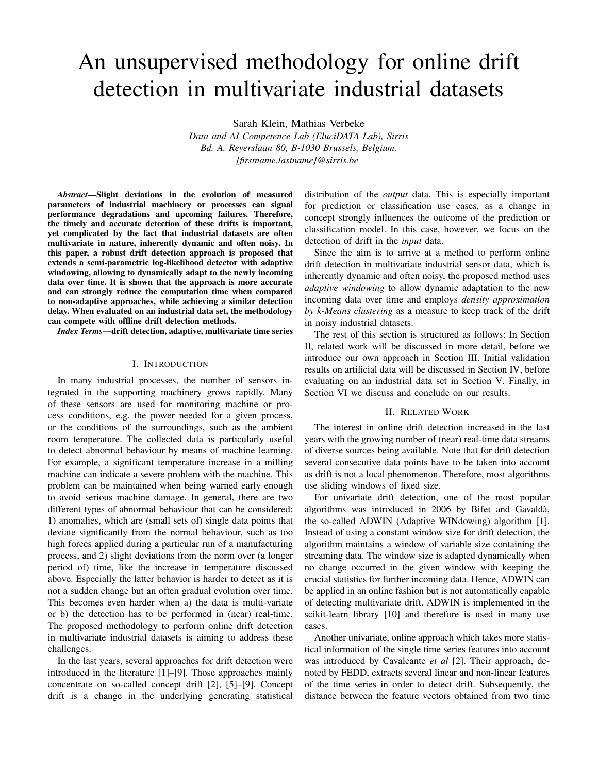# An unsupervised methodology for online drift detection in multivariate industrial datasets

Sarah Klein, Mathias Verbeke

*Data and AI Competence Lab (EluciDATA Lab), Sirris Bd. A. Reyerslaan 80, B-1030 Brussels, Belgium. {firstname.lastname}@sirris.be*

*Abstract*—Slight deviations in the evolution of measured parameters of industrial machinery or processes can signal performance degradations and upcoming failures. Therefore, the timely and accurate detection of these drifts is important, yet complicated by the fact that industrial datasets are often multivariate in nature, inherently dynamic and often noisy. In this paper, a robust drift detection approach is proposed that extends a semi-parametric log-likelihood detector with adaptive windowing, allowing to dynamically adapt to the newly incoming data over time. It is shown that the approach is more accurate and can strongly reduce the computation time when compared to non-adaptive approaches, while achieving a similar detection delay. When evaluated on an industrial data set, the methodology can compete with offline drift detection methods.

*Index Terms*—drift detection, adaptive, multivariate time series

# I. INTRODUCTION

In many industrial processes, the number of sensors integrated in the supporting machinery grows rapidly. Many of these sensors are used for monitoring machine or process conditions, e.g. the power needed for a given process, or the conditions of the surroundings, such as the ambient room temperature. The collected data is particularly useful to detect abnormal behaviour by means of machine learning. For example, a significant temperature increase in a milling machine can indicate a severe problem with the machine. This problem can be maintained when being warned early enough to avoid serious machine damage. In general, there are two different types of abnormal behaviour that can be considered: 1) anomalies, which are (small sets of) single data points that deviate significantly from the normal behaviour, such as too high forces applied during a particular run of a manufacturing process, and 2) slight deviations from the norm over (a longer period of) time, like the increase in temperature discussed above. Especially the latter behavior is harder to detect as it is not a sudden change but an often gradual evolution over time. This becomes even harder when a) the data is multi-variate or b) the detection has to be performed in (near) real-time. The proposed methodology to perform online drift detection in multivariate industrial datasets is aiming to address these challenges.

In the last years, several approaches for drift detection were introduced in the literature [1]–[9]. Those approaches mainly concentrate on so-called concept drift [2], [5]–[9]. Concept drift is a change in the underlying generating statistical distribution of the *output* data. This is especially important for prediction or classification use cases, as a change in concept strongly influences the outcome of the prediction or classification model. In this case, however, we focus on the detection of drift in the *input* data.

Since the aim is to arrive at a method to perform online drift detection in multivariate industrial sensor data, which is inherently dynamic and often noisy, the proposed method uses *adaptive windowing* to allow dynamic adaptation to the new incoming data over time and employs *density approximation by k-Means clustering* as a measure to keep track of the drift in noisy industrial datasets.

The rest of this section is structured as follows: In Section II, related work will be discussed in more detail, before we introduce our own approach in Section III. Initial validation results on artificial data will be discussed in Section IV, before evaluating on an industrial data set in Section V. Finally, in Section VI we discuss and conclude on our results.

# II. RELATED WORK

The interest in online drift detection increased in the last years with the growing number of (near) real-time data streams of diverse sources being available. Note that for drift detection several consecutive data points have to be taken into account as drift is not a local phenomenon. Therefore, most algorithms use sliding windows of fixed size.

For univariate drift detection, one of the most popular algorithms was introduced in 2006 by Bifet and Gavaldà, the so-called ADWIN (Adaptive WINdowing) algorithm [1]. Instead of using a constant window size for drift detection, the algorithm maintains a window of variable size containing the streaming data. The window size is adapted dynamically when no change occurred in the given window with keeping the crucial statistics for further incoming data. Hence, ADWIN can be applied in an online fashion but is not automatically capable of detecting multivariate drift. ADWIN is implemented in the scikit-learn library [10] and therefore is used in many use cases.

Another univariate, online approach which takes more statistical information of the single time series features into account was introduced by Cavalcante *et al* [2]. Their approach, denoted by FEDD, extracts several linear and non-linear features of the time series in order to detect drift. Subsequently, the distance between the feature vectors obtained from two time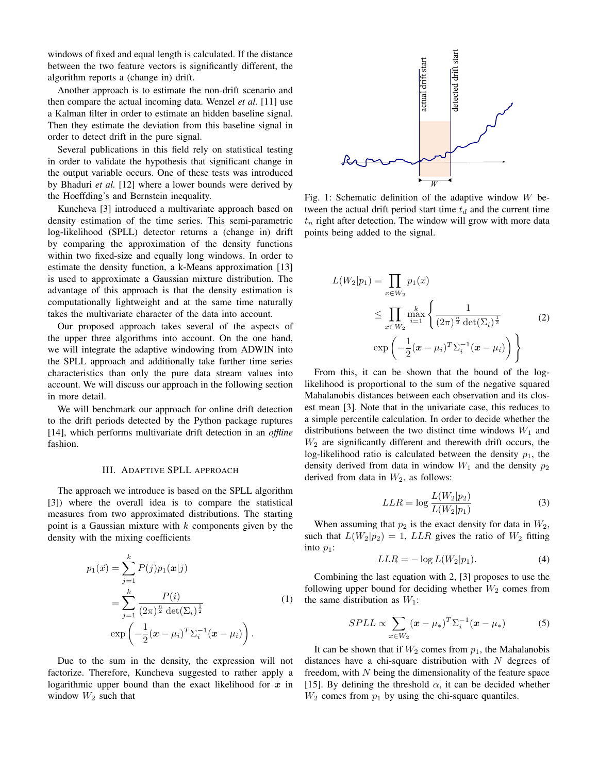windows of fixed and equal length is calculated. If the distance between the two feature vectors is significantly different, the algorithm reports a (change in) drift.

Another approach is to estimate the non-drift scenario and then compare the actual incoming data. Wenzel *et al.* [11] use a Kalman filter in order to estimate an hidden baseline signal. Then they estimate the deviation from this baseline signal in order to detect drift in the pure signal.

Several publications in this field rely on statistical testing in order to validate the hypothesis that significant change in the output variable occurs. One of these tests was introduced by Bhaduri *et al.* [12] where a lower bounds were derived by the Hoeffding's and Bernstein inequality.

Kuncheva [3] introduced a multivariate approach based on density estimation of the time series. This semi-parametric log-likelihood (SPLL) detector returns a (change in) drift by comparing the approximation of the density functions within two fixed-size and equally long windows. In order to estimate the density function, a k-Means approximation [13] is used to approximate a Gaussian mixture distribution. The advantage of this approach is that the density estimation is computationally lightweight and at the same time naturally takes the multivariate character of the data into account.

Our proposed approach takes several of the aspects of the upper three algorithms into account. On the one hand, we will integrate the adaptive windowing from ADWIN into the SPLL approach and additionally take further time series characteristics than only the pure data stream values into account. We will discuss our approach in the following section in more detail.

We will benchmark our approach for online drift detection to the drift periods detected by the Python package ruptures [14], which performs multivariate drift detection in an *offline* fashion.

# III. ADAPTIVE SPLL APPROACH

The approach we introduce is based on the SPLL algorithm [3]) where the overall idea is to compare the statistical measures from two approximated distributions. The starting point is a Gaussian mixture with  $k$  components given by the density with the mixing coefficients

$$
p_1(\vec{x}) = \sum_{j=1}^{k} P(j)p_1(\mathbf{x}|j)
$$
  
= 
$$
\sum_{j=1}^{k} \frac{P(i)}{(2\pi)^{\frac{n}{2}} \det(\Sigma_i)^{\frac{1}{2}}}
$$
  

$$
\exp\left(-\frac{1}{2}(\mathbf{x} - \mu_i)^T \Sigma_i^{-1}(\mathbf{x} - \mu_i)\right).
$$
 (1)

Due to the sum in the density, the expression will not factorize. Therefore, Kuncheva suggested to rather apply a logarithmic upper bound than the exact likelihood for  $x$  in window  $W_2$  such that



Fig. 1: Schematic definition of the adaptive window  $W$  between the actual drift period start time  $t_d$  and the current time  $t_n$  right after detection. The window will grow with more data points being added to the signal.

$$
L(W_2|p_1) = \prod_{x \in W_2} p_1(x)
$$
  
\n
$$
\leq \prod_{x \in W_2} \max_{i=1}^{k} \left\{ \frac{1}{(2\pi)^{\frac{n}{2}} \det(\Sigma_i)^{\frac{1}{2}}} \right\}
$$
  
\n
$$
\exp\left(-\frac{1}{2}(\mathbf{x} - \mu_i)^T \Sigma_i^{-1}(\mathbf{x} - \mu_i)\right) \right\}
$$
\n(2)

From this, it can be shown that the bound of the loglikelihood is proportional to the sum of the negative squared Mahalanobis distances between each observation and its closest mean [3]. Note that in the univariate case, this reduces to a simple percentile calculation. In order to decide whether the distributions between the two distinct time windows  $W_1$  and  $W<sub>2</sub>$  are significantly different and therewith drift occurs, the log-likelihood ratio is calculated between the density  $p_1$ , the density derived from data in window  $W_1$  and the density  $p_2$ derived from data in  $W_2$ , as follows:

$$
LLR = \log \frac{L(W_2|p_2)}{L(W_2|p_1)}
$$
\n(3)

When assuming that  $p_2$  is the exact density for data in  $W_2$ , such that  $L(W_2|p_2) = 1$ ,  $LLR$  gives the ratio of  $W_2$  fitting into  $p_1$ :

$$
LLR = -\log L(W_2|p_1). \tag{4}
$$

Combining the last equation with 2, [3] proposes to use the following upper bound for deciding whether  $W_2$  comes from the same distribution as  $W_1$ :

$$
SPLL \propto \sum_{x \in W_2} (\boldsymbol{x} - \mu_*)^T \Sigma_i^{-1} (\boldsymbol{x} - \mu_*) \tag{5}
$$

It can be shown that if  $W_2$  comes from  $p_1$ , the Mahalanobis distances have a chi-square distribution with  $N$  degrees of freedom, with  $N$  being the dimensionality of the feature space [15]. By defining the threshold  $\alpha$ , it can be decided whether  $W_2$  comes from  $p_1$  by using the chi-square quantiles.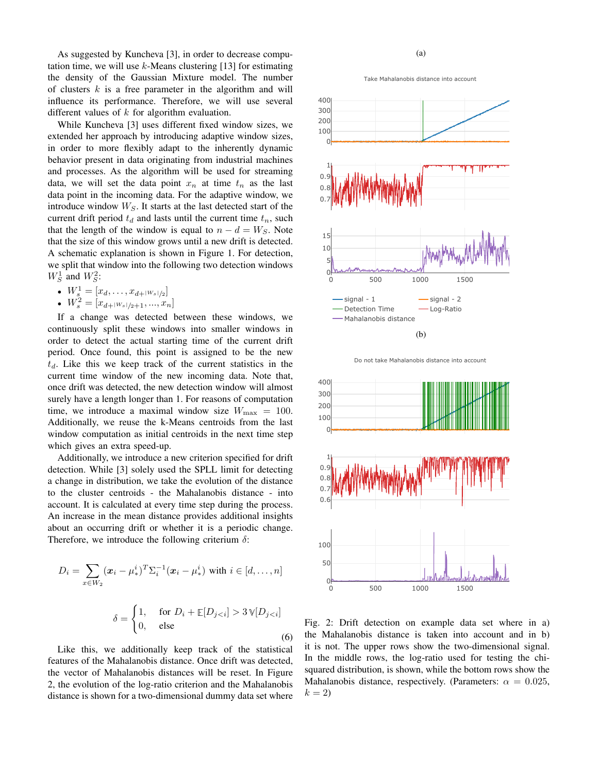As suggested by Kuncheva [3], in order to decrease computation time, we will use  $k$ -Means clustering [13] for estimating the density of the Gaussian Mixture model. The number of clusters  $k$  is a free parameter in the algorithm and will influence its performance. Therefore, we will use several different values of  $k$  for algorithm evaluation.

While Kuncheva [3] uses different fixed window sizes, we extended her approach by introducing adaptive window sizes, in order to more flexibly adapt to the inherently dynamic behavior present in data originating from industrial machines and processes. As the algorithm will be used for streaming data, we will set the data point  $x_n$  at time  $t_n$  as the last data point in the incoming data. For the adaptive window, we introduce window  $W_S$ . It starts at the last detected start of the current drift period  $t_d$  and lasts until the current time  $t_n$ , such that the length of the window is equal to  $n - d = W<sub>S</sub>$ . Note that the size of this window grows until a new drift is detected. A schematic explanation is shown in Figure 1. For detection, we split that window into the following two detection windows  $W_S^1$  and  $W_S^2$ :

- $W_s^1 = [x_d, \ldots, x_{d+|W_s|/2}]$
- $W_s^2 = [x_{d+|W_s|/2+1},...,x_n]$

If a change was detected between these windows, we continuously split these windows into smaller windows in order to detect the actual starting time of the current drift period. Once found, this point is assigned to be the new  $t_d$ . Like this we keep track of the current statistics in the current time window of the new incoming data. Note that, once drift was detected, the new detection window will almost surely have a length longer than 1. For reasons of computation time, we introduce a maximal window size  $W_{\text{max}} = 100$ . Additionally, we reuse the k-Means centroids from the last window computation as initial centroids in the next time step which gives an extra speed-up.

Additionally, we introduce a new criterion specified for drift detection. While [3] solely used the SPLL limit for detecting a change in distribution, we take the evolution of the distance to the cluster centroids - the Mahalanobis distance - into account. It is calculated at every time step during the process. An increase in the mean distance provides additional insights about an occurring drift or whether it is a periodic change. Therefore, we introduce the following criterium  $\delta$ :

$$
D_i = \sum_{x \in W_2} (\boldsymbol{x}_i - \mu^i_*)^T \Sigma_i^{-1} (\boldsymbol{x}_i - \mu^i_*) \text{ with } i \in [d, \dots, n]
$$

$$
\delta = \begin{cases} 1, & \text{for } D_i + \mathbb{E}[D_{j < i}] > 3 \mathbb{V}[D_{j < i}] \\ 0, & \text{else} \end{cases} \tag{6}
$$

Like this, we additionally keep track of the statistical features of the Mahalanobis distance. Once drift was detected, the vector of Mahalanobis distances will be reset. In Figure 2, the evolution of the log-ratio criterion and the Mahalanobis distance is shown for a two-dimensional dummy data set where

Take
Mahalanobis
distance
into
account



Do
not
take
Mahalanobis
distance
into
account



Fig. 2: Drift detection on example data set where in a) the Mahalanobis distance is taken into account and in b) it is not. The upper rows show the two-dimensional signal. In the middle rows, the log-ratio used for testing the chisquared distribution, is shown, while the bottom rows show the Mahalanobis distance, respectively. (Parameters:  $\alpha = 0.025$ ,  $k = 2$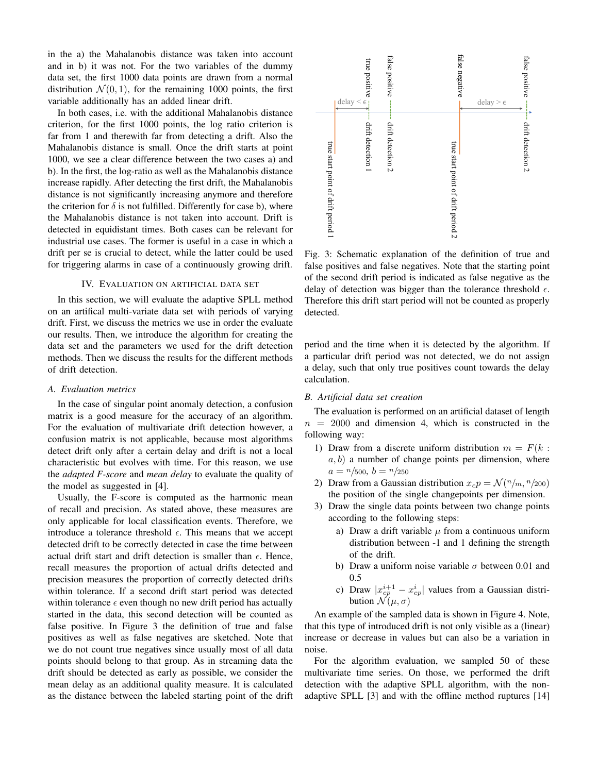in the a) the Mahalanobis distance was taken into account and in b) it was not. For the two variables of the dummy data set, the first 1000 data points are drawn from a normal distribution  $\mathcal{N}(0, 1)$ , for the remaining 1000 points, the first variable additionally has an added linear drift.

In both cases, i.e. with the additional Mahalanobis distance criterion, for the first 1000 points, the log ratio criterion is far from 1 and therewith far from detecting a drift. Also the Mahalanobis distance is small. Once the drift starts at point 1000, we see a clear difference between the two cases a) and b). In the first, the log-ratio as well as the Mahalanobis distance increase rapidly. After detecting the first drift, the Mahalanobis distance is not significantly increasing anymore and therefore the criterion for  $\delta$  is not fulfilled. Differently for case b), where the Mahalanobis distance is not taken into account. Drift is detected in equidistant times. Both cases can be relevant for industrial use cases. The former is useful in a case in which a drift per se is crucial to detect, while the latter could be used for triggering alarms in case of a continuously growing drift.

# IV. EVALUATION ON ARTIFICIAL DATA SET

In this section, we will evaluate the adaptive SPLL method on an artifical multi-variate data set with periods of varying drift. First, we discuss the metrics we use in order the evaluate our results. Then, we introduce the algorithm for creating the data set and the parameters we used for the drift detection methods. Then we discuss the results for the different methods of drift detection.

# *A. Evaluation metrics*

In the case of singular point anomaly detection, a confusion matrix is a good measure for the accuracy of an algorithm. For the evaluation of multivariate drift detection however, a confusion matrix is not applicable, because most algorithms detect drift only after a certain delay and drift is not a local characteristic but evolves with time. For this reason, we use the *adapted F-score* and *mean delay* to evaluate the quality of the model as suggested in [4].

Usually, the F-score is computed as the harmonic mean of recall and precision. As stated above, these measures are only applicable for local classification events. Therefore, we introduce a tolerance threshold  $\epsilon$ . This means that we accept detected drift to be correctly detected in case the time between actual drift start and drift detection is smaller than  $\epsilon$ . Hence, recall measures the proportion of actual drifts detected and precision measures the proportion of correctly detected drifts within tolerance. If a second drift start period was detected within tolerance  $\epsilon$  even though no new drift period has actually started in the data, this second detection will be counted as false positive. In Figure 3 the definition of true and false positives as well as false negatives are sketched. Note that we do not count true negatives since usually most of all data points should belong to that group. As in streaming data the drift should be detected as early as possible, we consider the mean delay as an additional quality measure. It is calculated Mahalaanois distance is small. Once the drift starts at point<br>in 1000, we see a clear difference between the two cases a) and<br>b). In the irst, the dog-ratio as well as the Mahalanobis distance<br>increases rapidy. After dete



Fig. 3: Schematic explanation of the definition of true and false positives and false negatives. Note that the starting point of the second drift period is indicated as false negative as the delay of detection was bigger than the tolerance threshold  $\epsilon$ . Therefore this drift start period will not be counted as properly detected.

period and the time when it is detected by the algorithm. If a particular drift period was not detected, we do not assign a delay, such that only true positives count towards the delay calculation.

# *B. Artificial data set creation*

The evaluation is performed on an artificial dataset of length  $n = 2000$  and dimension 4, which is constructed in the following way:

- 1) Draw from a discrete uniform distribution  $m = F(k :$  $a, b$ ) a number of change points per dimension, where  $a = \frac{n}{500}$ ,  $b = \frac{n}{250}$
- 2) Draw from a Gaussian distribution  $x_c p = \mathcal{N}(n/m, n/200)$ the position of the single changepoints per dimension.
- 3) Draw the single data points between two change points according to the following steps:
	- a) Draw a drift variable  $\mu$  from a continuous uniform distribution between -1 and 1 defining the strength of the drift.
	- b) Draw a uniform noise variable  $\sigma$  between 0.01 and 0.5
	- c) Draw  $|x_{cp}^{i+1} x_{cp}^i|$  values from a Gaussian distribution  $\mathcal{N}(\mu, \sigma)$

An example of the sampled data is shown in Figure 4. Note, that this type of introduced drift is not only visible as a (linear) increase or decrease in values but can also be a variation in noise.

For the algorithm evaluation, we sampled 50 of these multivariate time series. On those, we performed the drift detection with the adaptive SPLL algorithm, with the nonadaptive SPLL [3] and with the offline method ruptures [14]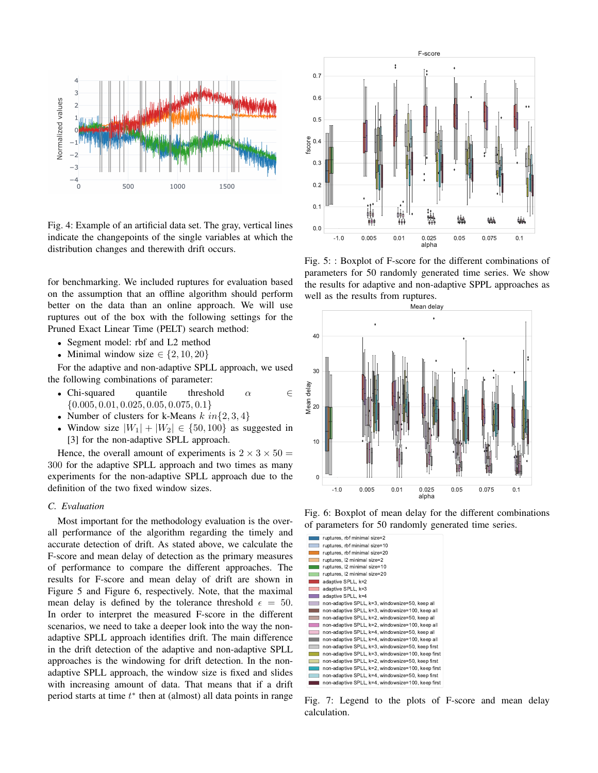

Fig. 4: Example of an artificial data set. The gray, vertical lines indicate the changepoints of the single variables at which the distribution changes and therewith drift occurs.

for benchmarking. We included ruptures for evaluation based on the assumption that an offline algorithm should perform better on the data than an online approach. We will use ruptures out of the box with the following settings for the Pruned Exact Linear Time (PELT) search method:

- Segment model: rbf and L2 method
- Minimal window size  $\in \{2, 10, 20\}$

For the adaptive and non-adaptive SPLL approach, we used the following combinations of parameter:

- Chi-squared quantile threshold  $\alpha$   $\in$  $\{0.005, 0.01, 0.025, 0.05, 0.075, 0.1\}$
- Number of clusters for k-Means  $k \in \{2, 3, 4\}$
- Window size  $|W_1| + |W_2| \in \{50, 100\}$  as suggested in [3] for the non-adaptive SPLL approach.

Hence, the overall amount of experiments is  $2 \times 3 \times 50 =$ 300 for the adaptive SPLL approach and two times as many experiments for the non-adaptive SPLL approach due to the definition of the two fixed window sizes.

### *C. Evaluation*

Most important for the methodology evaluation is the overall performance of the algorithm regarding the timely and accurate detection of drift. As stated above, we calculate the F-score and mean delay of detection as the primary measures of performance to compare the different approaches. The results for F-score and mean delay of drift are shown in Figure 5 and Figure 6, respectively. Note, that the maximal mean delay is defined by the tolerance threshold  $\epsilon = 50$ . In order to interpret the measured F-score in the different<br>In order to interpret the measured F-score in the different scenarios, we need to take a deeper look into the way the nonadaptive SPLL approach identifies drift. The main difference in the drift detection of the adaptive and non-adaptive SPLL approaches is the windowing for drift detection. In the nonadaptive SPLL approach, the window size is fixed and slides with increasing amount of data. That means that if a drift period starts at time  $t^*$  then at (almost) all data points in range .<br>محمد م



Fig. 5: : Boxplot of F-score for the different combinations of parameters for 50 randomly generated time series. We show the results for adaptive and non-adaptive SPPL approaches as well as the results from ruptures.



Fig. 6: Boxplot of mean delay for the different combinations of parameters for 50 randomly generated time series.

|                                   | ruptures, rbf minimal size=2                       |
|-----------------------------------|----------------------------------------------------|
|                                   | ruptures, rbf minimal size=10                      |
|                                   | ruptures, rbf minimal size=20                      |
|                                   | ruptures, I2 minimal size=2                        |
|                                   | ruptures, l2 minimal size=10                       |
|                                   | ruptures, l2 minimal size=20                       |
|                                   | adaptive SPLL, k=2                                 |
| <b>Contract Contract</b>          | adaptive SPLL, k=3                                 |
|                                   | adaptive SPLL, k=4                                 |
| <b>Contract Contract Contract</b> | non-adaptive SPLL, k=3, windowsize=50, keep all    |
|                                   | non-adaptive SPLL, k=3, windowsize=100, keep all   |
|                                   | non-adaptive SPLL, k=2, windowsize=50, keep all    |
|                                   | non-adaptive SPLL, k=2, windowsize=100, keep all   |
|                                   | non-adaptive SPLL, k=4, windowsize=50, keep all    |
|                                   | non-adaptive SPLL, k=4, windowsize=100, keep all   |
| <b>The Contract of Street</b>     | non-adaptive SPLL, k=3, windowsize=50, keep first  |
|                                   | non-adaptive SPLL, k=3, windowsize=100, keep first |
|                                   | non-adaptive SPLL, k=2, windowsize=50, keep first  |
|                                   | non-adaptive SPLL, k=2, windowsize=100, keep first |
|                                   | non-adaptive SPLL, k=4, windowsize=50, keep first  |
|                                   | non-adaptive SPLL, k=4, windowsize=100, keep first |

Fig. 7: Legend to the plots of F-score and mean delay calculation.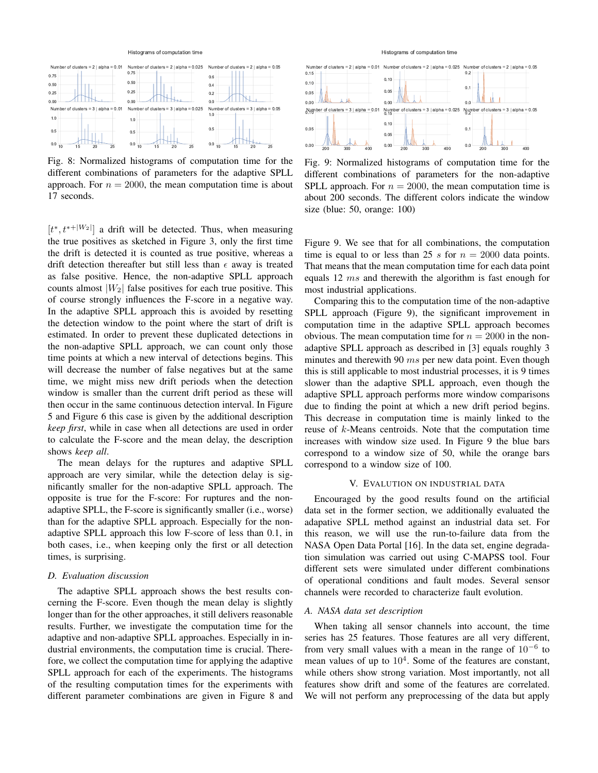#### Histograms of computation time



Fig. 8: Normalized histograms of computation time for the different combinations of parameters for the adaptive SPLL approach. For  $n = 2000$ , the mean computation time is about 17 seconds.

 $[t^*, t^{*+|W_2|}]$  a drift will be detected. Thus, when measuring the true positives as sketched in Figure 3, only the first time the drift is detected it is counted as true positive, whereas a drift detection thereafter but still less than  $\epsilon$  away is treated as false positive. Hence, the non-adaptive SPLL approach counts almost  $|W_2|$  false positives for each true positive. This of course strongly influences the F-score in a negative way. In the adaptive SPLL approach this is avoided by resetting the detection window to the point where the start of drift is estimated. In order to prevent these duplicated detections in the non-adaptive SPLL approach, we can count only those time points at which a new interval of detections begins. This will decrease the number of false negatives but at the same time, we might miss new drift periods when the detection window is smaller than the current drift period as these will then occur in the same continuous detection interval. In Figure 5 and Figure 6 this case is given by the additional description *keep first*, while in case when all detections are used in order to calculate the F-score and the mean delay, the description shows *keep all*.

The mean delays for the ruptures and adaptive SPLL approach are very similar, while the detection delay is significantly smaller for the non-adaptive SPLL approach. The opposite is true for the F-score: For ruptures and the nonadaptive SPLL, the F-score is significantly smaller (i.e., worse) than for the adaptive SPLL approach. Especially for the nonadaptive SPLL approach this low F-score of less than 0.1, in both cases, i.e., when keeping only the first or all detection times, is surprising.

#### *D. Evaluation discussion*

The adaptive SPLL approach shows the best results concerning the F-score. Even though the mean delay is slightly longer than for the other approaches, it still delivers reasonable results. Further, we investigate the computation time for the adaptive and non-adaptive SPLL approaches. Especially in industrial environments, the computation time is crucial. Therefore, we collect the computation time for applying the adaptive SPLL approach for each of the experiments. The histograms of the resulting computation times for the experiments with different parameter combinations are given in Figure 8 and

#### Histograms of computation time



Fig. 9: Normalized histograms of computation time for the different combinations of parameters for the non-adaptive SPLL approach. For  $n = 2000$ , the mean computation time is about 200 seconds. The different colors indicate the window size (blue: 50, orange: 100)

Figure 9. We see that for all combinations, the computation time is equal to or less than 25 s for  $n = 2000$  data points. That means that the mean computation time for each data point equals 12 ms and therewith the algorithm is fast enough for most industrial applications.

Comparing this to the computation time of the non-adaptive SPLL approach (Figure 9), the significant improvement in computation time in the adaptive SPLL approach becomes obvious. The mean computation time for  $n = 2000$  in the nonadaptive SPLL approach as described in [3] equals roughly 3 minutes and therewith 90  $ms$  per new data point. Even though this is still applicable to most industrial processes, it is 9 times slower than the adaptive SPLL approach, even though the adaptive SPLL approach performs more window comparisons due to finding the point at which a new drift period begins. This decrease in computation time is mainly linked to the reuse of k-Means centroids. Note that the computation time increases with window size used. In Figure 9 the blue bars correspond to a window size of 50, while the orange bars correspond to a window size of 100.

# V. EVALUTION ON INDUSTRIAL DATA

Encouraged by the good results found on the artificial data set in the former section, we additionally evaluated the adapative SPLL method against an industrial data set. For this reason, we will use the run-to-failure data from the NASA Open Data Portal [16]. In the data set, engine degradation simulation was carried out using C-MAPSS tool. Four different sets were simulated under different combinations of operational conditions and fault modes. Several sensor channels were recorded to characterize fault evolution.

# *A. NASA data set description*

When taking all sensor channels into account, the time series has 25 features. Those features are all very different, from very small values with a mean in the range of  $10^{-6}$  to mean values of up to  $10^4$ . Some of the features are constant, while others show strong variation. Most importantly, not all features show drift and some of the features are correlated. We will not perform any preprocessing of the data but apply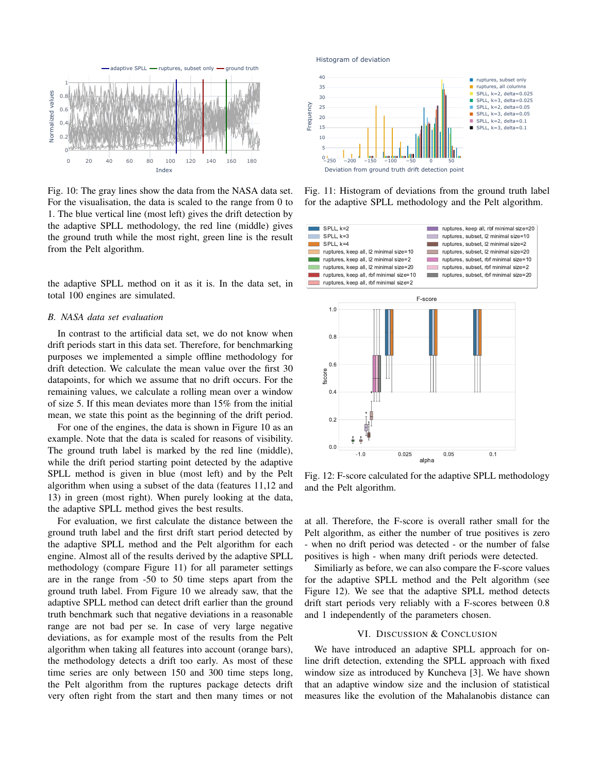

Fig. 10: The gray lines show the data from the NASA data set. For the visualisation, the data is scaled to the range from 0 to 1. The blue vertical line (most left) gives the drift detection by the adaptive SPLL methodology, the red line (middle) gives the ground truth while the most right, green line is the result from the Pelt algorithm.

the adaptive SPLL method on it as it is. In the data set, in total 100 engines are simulated.

# *B. NASA data set evaluation*

In contrast to the artificial data set, we do not know when drift periods start in this data set. Therefore, for benchmarking purposes we implemented a simple offline methodology for drift detection. We calculate the mean value over the first 30 datapoints, for which we assume that no drift occurs. For the remaining values, we calculate a rolling mean over a window of size 5. If this mean deviates more than 15% from the initial mean, we state this point as the beginning of the drift period.

For one of the engines, the data is shown in Figure 10 as an example. Note that the data is scaled for reasons of visibility. The ground truth label is marked by the red line (middle), while the drift period starting point detected by the adaptive SPLL method is given in blue (most left) and by the Pelt algorithm when using a subset of the data (features 11,12 and 13) in green (most right). When purely looking at the data, the adaptive SPLL method gives the best results.

For evaluation, we first calculate the distance between the ground truth label and the first drift start period detected by the adaptive SPLL method and the Pelt algorithm for each engine. Almost all of the results derived by the adaptive SPLL methodology (compare Figure 11) for all parameter settings are in the range from -50 to 50 time steps apart from the ground truth label. From Figure 10 we already saw, that the adaptive SPLL method can detect drift earlier than the ground truth benchmark such that negative deviations in a reasonable range are not bad per se. In case of very large negative deviations, as for example most of the results from the Pelt algorithm when taking all features into account (orange bars), the methodology detects a drift too early. As most of these time series are only between 150 and 300 time steps long, the Pelt algorithm from the ruptures package detects drift very often right from the start and then many times or not





Fig. 11: Histogram of deviations from the ground truth label for the adaptive SPLL methodology and the Pelt algorithm.



Fig. 12: F-score calculated for the adaptive SPLL methodology and the Pelt algorithm.

at all. Therefore, the F-score is overall rather small for the Pelt algorithm, as either the number of true positives is zero - when no drift period was detected - or the number of false positives is high - when many drift periods were detected.

Similiarly as before, we can also compare the F-score values for the adaptive SPLL method and the Pelt algorithm (see Figure 12). We see that the adaptive SPLL method detects drift start periods very reliably with a F-scores between 0.8 and 1 independently of the parameters chosen.

# VI. DISCUSSION & CONCLUSION

We have introduced an adaptive SPLL approach for online drift detection, extending the SPLL approach with fixed window size as introduced by Kuncheva [3]. We have shown that an adaptive window size and the inclusion of statistical measures like the evolution of the Mahalanobis distance can